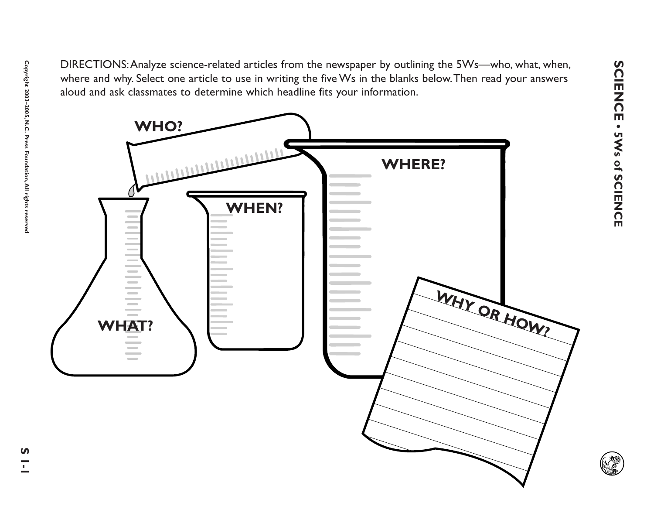**SCIENCE • 5Ws of SCIENCE**

Sue Critical Schalars science related articles from the newspaper by outlining the SWs in the blanks below. Then read you related and and ask classmates to determine which headline fits your information.<br>
Suburd and ask cl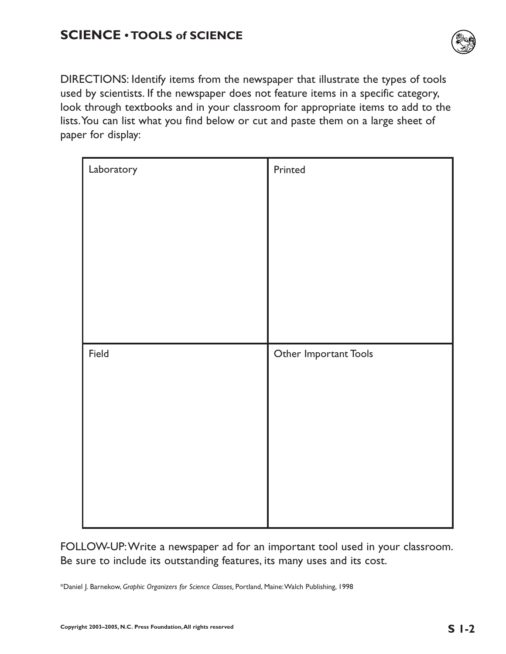

DIRECTIONS: Identify items from the newspaper that illustrate the types of tools used by scientists. If the newspaper does not feature items in a specific category, look through textbooks and in your classroom for appropriate items to add to the lists.You can list what you find below or cut and paste them on a large sheet of paper for display:

| Laboratory | Printed               |
|------------|-----------------------|
|            |                       |
|            |                       |
|            |                       |
|            |                       |
|            |                       |
| Field      | Other Important Tools |
|            |                       |
|            |                       |
|            |                       |
|            |                       |
|            |                       |
|            |                       |
|            |                       |

FOLLOW-UP:Write a newspaper ad for an important tool used in your classroom. Be sure to include its outstanding features, its many uses and its cost.

\*Daniel J. Barnekow, *Graphic Organizers for Science Classes,* Portland, Maine:Walch Publishing, 1998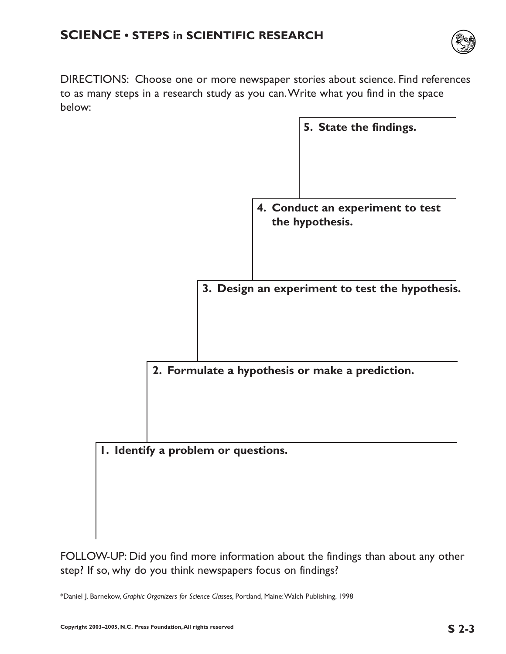

DIRECTIONS: Choose one or more newspaper stories about science. Find references to as many steps in a research study as you can.Write what you find in the space below:

|                                     |                                                     | 5. State the findings. |
|-------------------------------------|-----------------------------------------------------|------------------------|
|                                     |                                                     |                        |
|                                     |                                                     |                        |
|                                     |                                                     |                        |
|                                     | 4. Conduct an experiment to test<br>the hypothesis. |                        |
|                                     |                                                     |                        |
|                                     |                                                     |                        |
|                                     |                                                     |                        |
|                                     | 3. Design an experiment to test the hypothesis.     |                        |
|                                     |                                                     |                        |
|                                     |                                                     |                        |
|                                     | 2. Formulate a hypothesis or make a prediction.     |                        |
|                                     |                                                     |                        |
|                                     |                                                     |                        |
|                                     |                                                     |                        |
| I. Identify a problem or questions. |                                                     |                        |
|                                     |                                                     |                        |
|                                     |                                                     |                        |

FOLLOW-UP: Did you find more information about the findings than about any other step? If so, why do you think newspapers focus on findings?

\*Daniel J. Barnekow, *Graphic Organizers for Science Classes,* Portland, Maine:Walch Publishing, 1998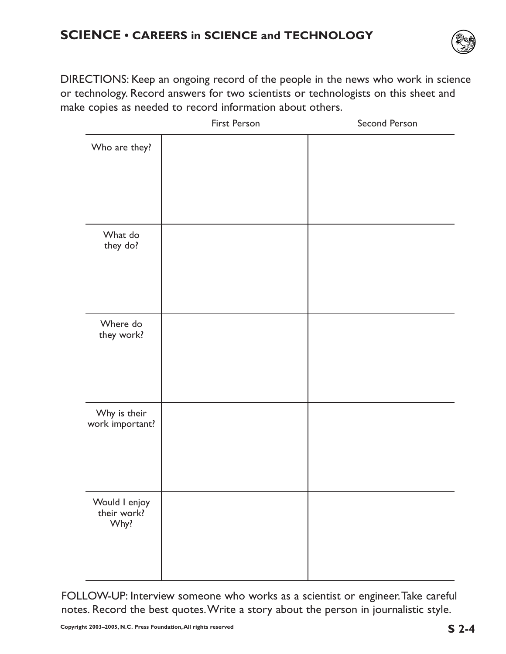

DIRECTIONS: Keep an ongoing record of the people in the news who work in science or technology. Record answers for two scientists or technologists on this sheet and make copies as needed to record information about others.

|                                      | First Person | Second Person |
|--------------------------------------|--------------|---------------|
| Who are they?                        |              |               |
| What do<br>they do?                  |              |               |
| Where do<br>they work?               |              |               |
| Why is their<br>work important?      |              |               |
| Would I enjoy<br>their work?<br>Why? |              |               |

FOLLOW-UP: Interview someone who works as a scientist or engineer.Take careful notes. Record the best quotes.Write a story about the person in journalistic style.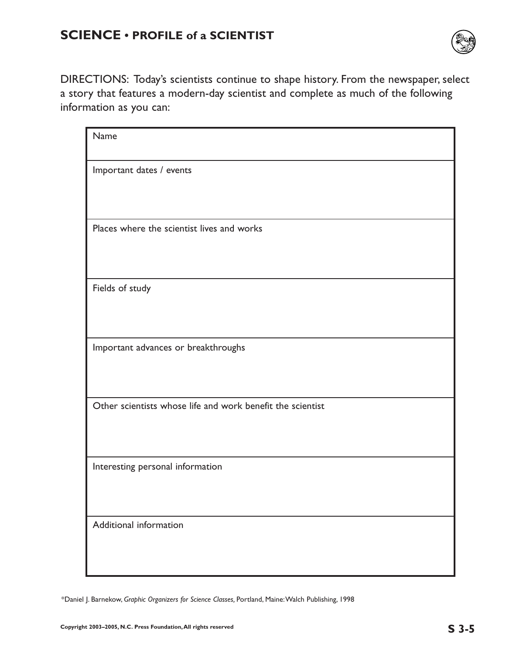

DIRECTIONS: Today's scientists continue to shape history. From the newspaper, select a story that features a modern-day scientist and complete as much of the following information as you can:

| Name                                                       |
|------------------------------------------------------------|
| Important dates / events                                   |
|                                                            |
| Places where the scientist lives and works                 |
|                                                            |
| Fields of study                                            |
|                                                            |
| Important advances or breakthroughs                        |
|                                                            |
| Other scientists whose life and work benefit the scientist |
|                                                            |
| Interesting personal information                           |
|                                                            |
| Additional information                                     |
|                                                            |

\*Daniel J. Barnekow, *Graphic Organizers for Science Classes,* Portland, Maine:Walch Publishing, 1998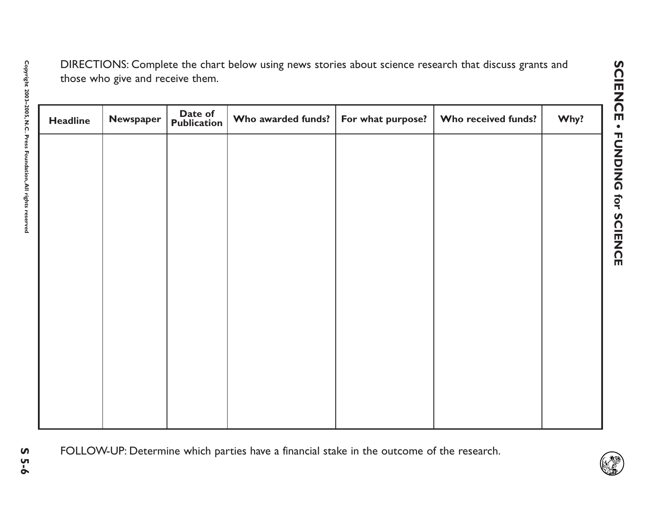| <b>Headline</b> | Newspaper | Date of<br><b>Publication</b> | Who awarded funds? | For what purpose? | Who received funds? | Why? |
|-----------------|-----------|-------------------------------|--------------------|-------------------|---------------------|------|
|                 |           |                               |                    |                   |                     |      |
|                 |           |                               |                    |                   |                     |      |
|                 |           |                               |                    |                   |                     |      |
|                 |           |                               |                    |                   |                     |      |
|                 |           |                               |                    |                   |                     |      |
|                 |           |                               |                    |                   |                     |      |
|                 |           |                               |                    |                   |                     |      |
|                 |           |                               |                    |                   |                     |      |
|                 |           |                               |                    |                   |                     |      |
|                 |           |                               |                    |                   |                     |      |
|                 |           |                               |                    |                   |                     |      |
|                 |           |                               |                    |                   |                     |      |

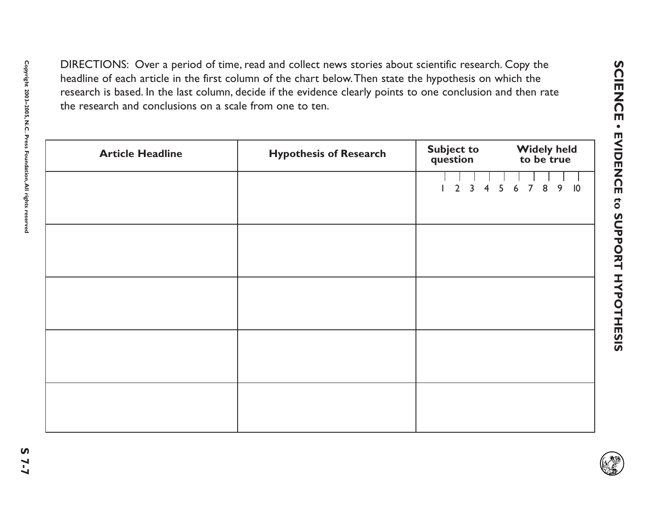| <b>Article Headline</b> | <b>Hypothesis of Research</b> | <b>Subject to</b><br><b>Widely held</b><br>question<br>to be true |
|-------------------------|-------------------------------|-------------------------------------------------------------------|
|                         |                               | 8<br>$\overline{2}$<br>6<br>$\overline{7}$<br>3<br>5              |
|                         |                               |                                                                   |
|                         |                               |                                                                   |
|                         |                               |                                                                   |
|                         |                               |                                                                   |
|                         |                               |                                                                   |
|                         |                               |                                                                   |
|                         |                               |                                                                   |
|                         |                               |                                                                   |

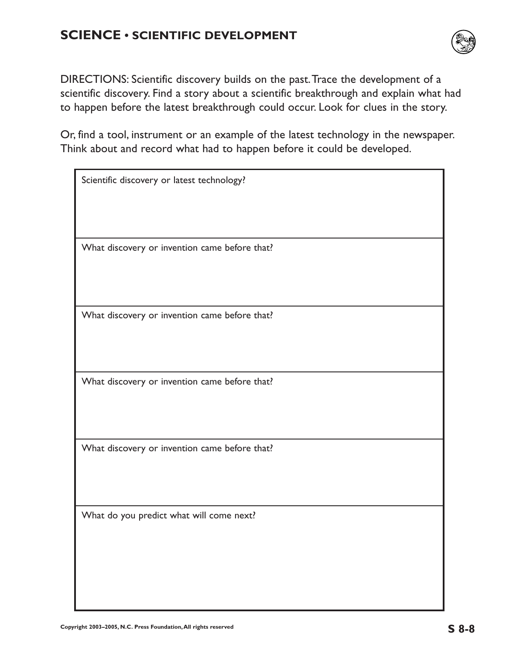

DIRECTIONS: Scientific discovery builds on the past.Trace the development of a scientific discovery. Find a story about a scientific breakthrough and explain what had to happen before the latest breakthrough could occur. Look for clues in the story.

Or, find a tool, instrument or an example of the latest technology in the newspaper. Think about and record what had to happen before it could be developed.

| Scientific discovery or latest technology?    |
|-----------------------------------------------|
|                                               |
|                                               |
| What discovery or invention came before that? |
|                                               |
|                                               |
| What discovery or invention came before that? |
|                                               |
|                                               |
| What discovery or invention came before that? |
|                                               |
|                                               |
| What discovery or invention came before that? |
|                                               |
|                                               |
| What do you predict what will come next?      |
|                                               |
|                                               |
|                                               |
|                                               |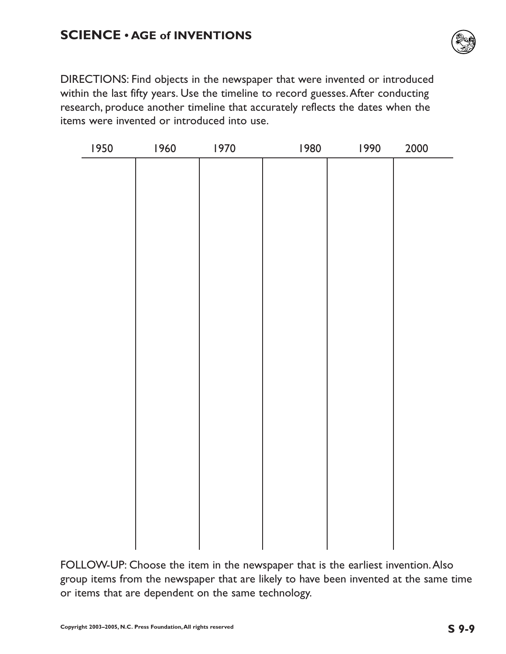

DIRECTIONS: Find objects in the newspaper that were invented or introduced within the last fifty years. Use the timeline to record guesses.After conducting research, produce another timeline that accurately reflects the dates when the items were invented or introduced into use.

| 1950 | 1960 | 1970 | 1980 | 1990 | 2000 |
|------|------|------|------|------|------|
|      |      |      |      |      |      |
|      |      |      |      |      |      |
|      |      |      |      |      |      |
|      |      |      |      |      |      |
|      |      |      |      |      |      |
|      |      |      |      |      |      |
|      |      |      |      |      |      |
|      |      |      |      |      |      |
|      |      |      |      |      |      |
|      |      |      |      |      |      |
|      |      |      |      |      |      |
|      |      |      |      |      |      |
|      |      |      |      |      |      |
|      |      |      |      |      |      |
|      |      |      |      |      |      |
|      |      |      |      |      |      |
|      |      |      |      |      |      |
|      |      |      |      |      |      |
|      |      |      |      |      |      |
|      |      |      |      |      |      |
|      |      |      |      |      |      |
|      |      |      |      |      |      |

FOLLOW-UP: Choose the item in the newspaper that is the earliest invention.Also group items from the newspaper that are likely to have been invented at the same time or items that are dependent on the same technology.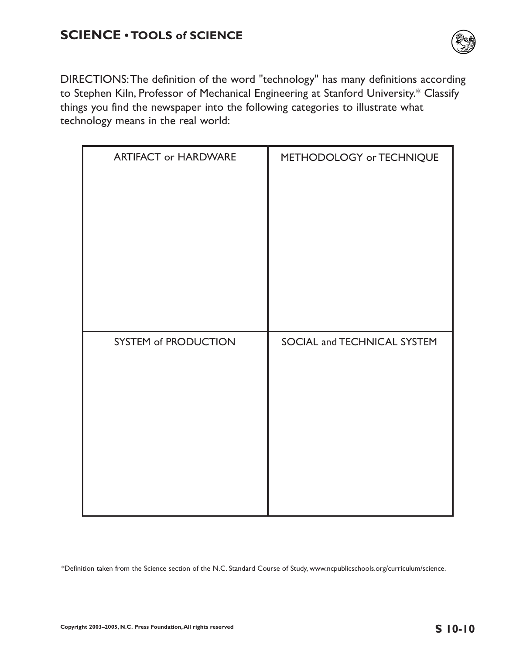

DIRECTIONS:The definition of the word "technology" has many definitions according to Stephen Kiln, Professor of Mechanical Engineering at Stanford University.\* Classify things you find the newspaper into the following categories to illustrate what technology means in the real world:

| <b>ARTIFACT or HARDWARE</b> | METHODOLOGY or TECHNIQUE    |
|-----------------------------|-----------------------------|
|                             | SOCIAL and TECHNICAL SYSTEM |
| <b>SYSTEM of PRODUCTION</b> |                             |

\*Definition taken from the Science section of the N.C. Standard Course of Study, www.ncpublicschools.org/curriculum/science.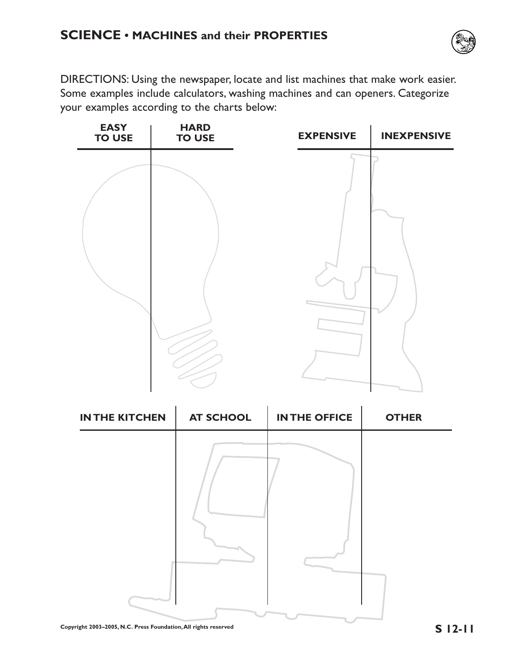

DIRECTIONS: Using the newspaper, locate and list machines that make work easier. Some examples include calculators, washing machines and can openers. Categorize your examples according to the charts below:



| <b>IN THE KITCHEN</b> | <b>AT SCHOOL</b> | <b>IN THE OFFICE</b> | <b>OTHER</b> |
|-----------------------|------------------|----------------------|--------------|
|                       |                  |                      |              |
|                       |                  |                      |              |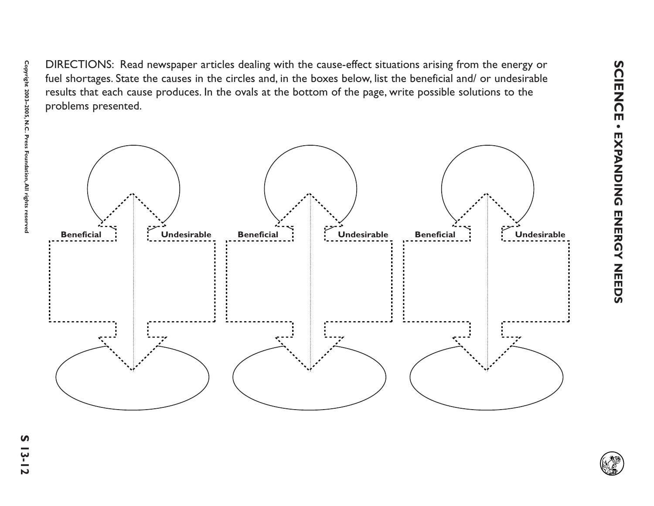

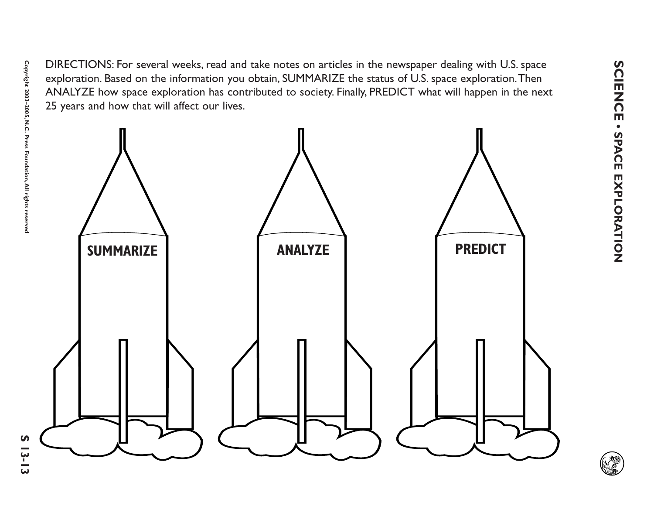

**Copyright 2003–2005, N.C. Press Foundation,All rights reserved**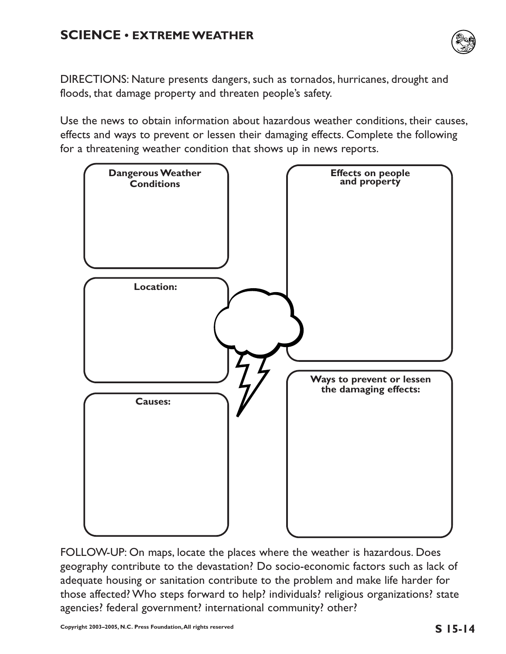## **SCIENCE • EXTREME WEATHER**



DIRECTIONS: Nature presents dangers, such as tornados, hurricanes, drought and floods, that damage property and threaten people's safety.

Use the news to obtain information about hazardous weather conditions, their causes, effects and ways to prevent or lessen their damaging effects. Complete the following for a threatening weather condition that shows up in news reports.



FOLLOW-UP: On maps, locate the places where the weather is hazardous. Does geography contribute to the devastation? Do socio-economic factors such as lack of adequate housing or sanitation contribute to the problem and make life harder for those affected? Who steps forward to help? individuals? religious organizations? state agencies? federal government? international community? other?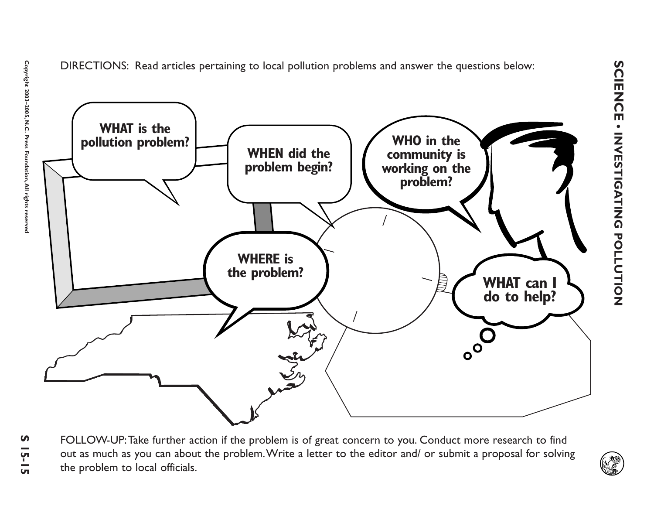

**Copyright 2003–2005, N.C. Press Foundation,All rights reserved**

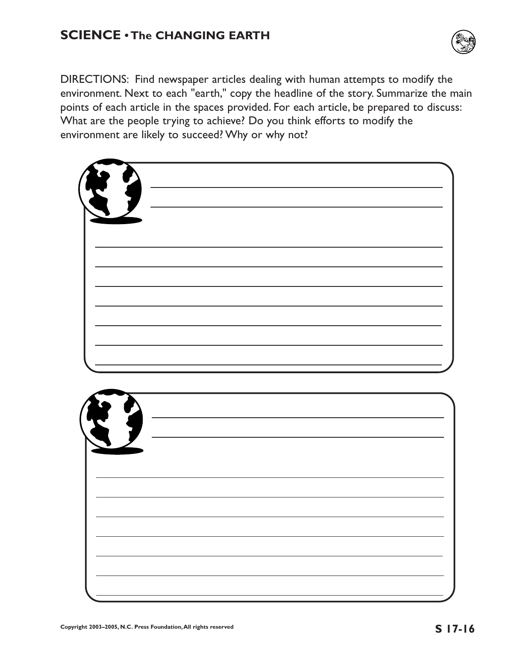## **SCIENCE • The CHANGING EARTH**



DIRECTIONS: Find newspaper articles dealing with human attempts to modify the environment. Next to each "earth," copy the headline of the story. Summarize the main points of each article in the spaces provided. For each article, be prepared to discuss: What are the people trying to achieve? Do you think efforts to modify the environment are likely to succeed? Why or why not?

| $\int_{-\infty}^{\infty}$<br>$\sqrt{ }$ |  |  |  |
|-----------------------------------------|--|--|--|
|                                         |  |  |  |
|                                         |  |  |  |
|                                         |  |  |  |
|                                         |  |  |  |
|                                         |  |  |  |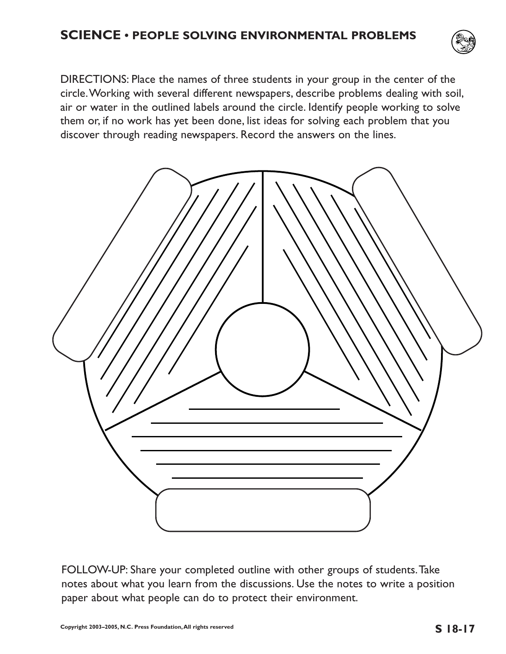

DIRECTIONS: Place the names of three students in your group in the center of the circle.Working with several different newspapers, describe problems dealing with soil, air or water in the outlined labels around the circle. Identify people working to solve them or, if no work has yet been done, list ideas for solving each problem that you discover through reading newspapers. Record the answers on the lines.



FOLLOW-UP: Share your completed outline with other groups of students.Take notes about what you learn from the discussions. Use the notes to write a position paper about what people can do to protect their environment.